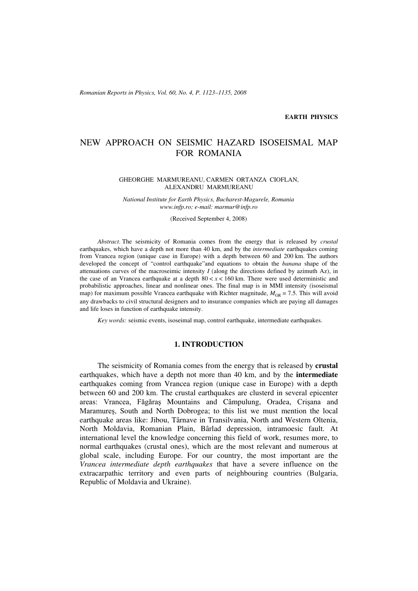*Romanian Reports in Physics, Vol. 60, No. 4, P. 1123–1135, 2008*

#### **EARTH PHYSICS**

# NEW APPROACH ON SEISMIC HAZARD ISOSEISMAL MAP FOR ROMANIA

#### GHEORGHE MARMUREANU, CARMEN ORTANZA CIOFLAN, ALEXANDRU MARMUREANU

*National Institute for Earth Physics, Bucharest-Magurele, Romania www.infp.ro; e-mail: marmur@infp.ro*

(Received September 4, 2008)

*Abstract*. The seismicity of Romania comes from the energy that is released by *crustal* earthquakes, which have a depth not more than 40 km, and by the *intermediate* earthquakes coming from Vrancea region (unique case in Europe) with a depth between 60 and 200 km. The authors developed the concept of "control earthquake"and equations to obtain the *banana* shape of the attenuations curves of the macroseimic intensity  $I$  (along the directions defined by azimuth Az), in the case of an Vrancea earthquake at a depth  $80 < x < 160$  km. There were used deterministic and probabilistic approaches, linear and nonlinear ones. The final map is in MMI intensity (isoseismal map) for maximum possible Vrancea earthquake with Richter magnitude,  $M_{GR} = 7.5$ . This will avoid any drawbacks to civil structural designers and to insurance companies which are paying all damages and life loses in function of earthquake intensity.

*Key words:* seismic events, isoseimal map, control earthquake, intermediate earthquakes.

### **1. INTRODUCTION**

The seismicity of Romania comes from the energy that is released by **crustal** earthquakes, which have a depth not more than 40 km, and by the **intermediate** earthquakes coming from Vrancea region (unique case in Europe) with a depth between 60 and 200 km. The crustal earthquakes are clusterd in several epicenter areas: Vrancea, Făgăraș Mountains and Câmpulung, Oradea, Crișana and Maramureș, South and North Dobrogea; to this list we must mention the local earthquake areas like: Jibou, Târnave in Transilvania, North and Western Oltenia, North Moldavia, Romanian Plain, Bârlad depression, intramoesic fault. At international level the knowledge concerning this field of work, resumes more, to normal earthquakes (crustal ones), which are the most relevant and numerous at global scale, including Europe. For our country, the most important are the *Vrancea intermediate depth earthquakes* that have a severe influence on the extracarpathic territory and even parts of neighbouring countries (Bulgaria, Republic of Moldavia and Ukraine).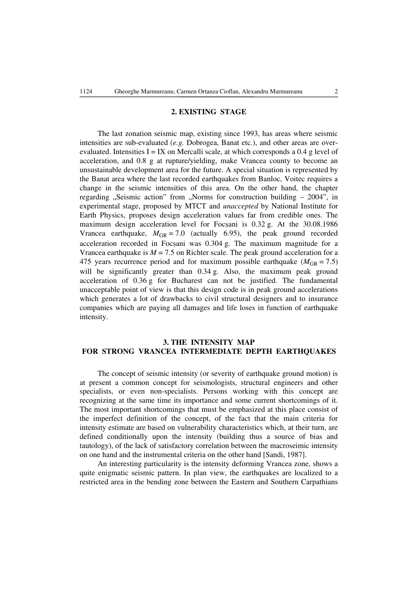#### **2. EXISTING STAGE**

The last zonation seismic map, existing since 1993, has areas where seismic intensities are sub-evaluated (*e.g.* Dobrogea, Banat etc.), and other areas are overevaluated. Intensities  $I = IX$  on Mercalli scale, at which corresponds a 0.4 g level of acceleration, and 0.8 g at rupture/yielding, make Vrancea county to become an unsustainable development area for the future. A special situation is represented by the Banat area where the last recorded earthquakes from Banloc, Voitec requires a change in the seismic intensities of this area. On the other hand, the chapter regarding "Seismic action" from "Norms for construction building  $-2004$ ", in experimental stage, proposed by MTCT and *unaccepted* by National Institute for Earth Physics, proposes design acceleration values far from credible ones. The maximum design acceleration level for Focsani is  $0.32$  g. At the  $30.08.1986$ Vrancea earthquake,  $M_{GR} = 7.0$  (actually 6.95), the peak ground recorded acceleration recorded in Focsani was  $0.304$  g. The maximum magnitude for a Vrancea earthquake is  $M = 7.5$  on Richter scale. The peak ground acceleration for a 475 years recurrence period and for maximum possible earthquake ( $M_{\text{GR}} = 7.5$ ) will be significantly greater than 0.34 g. Also, the maximum peak ground acceleration of 0.36 g for Bucharest can not be justified. The fundamental unacceptable point of view is that this design code is in peak ground accelerations which generates a lot of drawbacks to civil structural designers and to insurance companies which are paying all damages and life loses in function of earthquake intensity.

# **3. THE INTENSITY MAP FOR STRONG VRANCEA INTERMEDIATE DEPTH EARTHQUAKES**

The concept of seismic intensity (or severity of earthquake ground motion) is at present a common concept for seismologists, structural engineers and other specialists, or even non-specialists. Persons working with this concept are recognizing at the same time its importance and some current shortcomings of it. The most important shortcomings that must be emphasized at this place consist of the imperfect definition of the concept, of the fact that the main criteria for intensity estimate are based on vulnerability characteristics which, at their turn, are defined conditionally upon the intensity (building thus a source of bias and tautology), of the lack of satisfactory correlation between the macroseimic intensity on one hand and the instrumental criteria on the other hand [Sandi, 1987].

An interesting particularity is the intensity deforming Vrancea zone, shows a quite enigmatic seismic pattern. In plan view, the earthquakes are localized to a restricted area in the bending zone between the Eastern and Southern Carpathians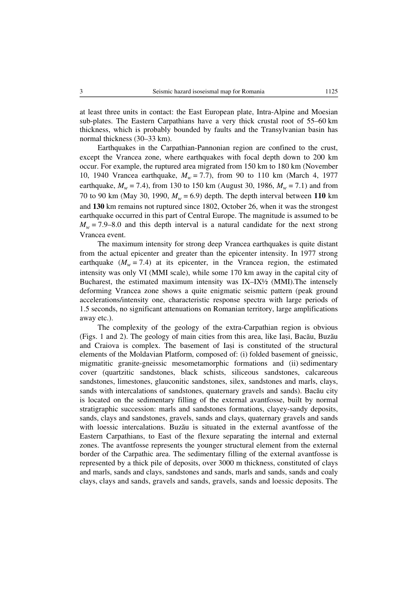at least three units in contact: the East European plate, Intra-Alpine and Moesian sub-plates. The Eastern Carpathians have a very thick crustal root of 55–60 km thickness, which is probably bounded by faults and the Transylvanian basin has normal thickness (30–33 km).

Earthquakes in the Carpathian-Pannonian region are confined to the crust, except the Vrancea zone, where earthquakes with focal depth down to 200 km occur. For example, the ruptured area migrated from 150 km to 180 km (November 10, 1940 Vrancea earthquake, *Mw* = 7.7), from 90 to 110 km (March 4, 1977 earthquake,  $M_w = 7.4$ ), from 130 to 150 km (August 30, 1986,  $M_w = 7.1$ ) and from 70 to 90 km (May 30, 1990,  $M_w = 6.9$ ) depth. The depth interval between 110 km and **130** km remains not ruptured since 1802, October 26, when it was the strongest earthquake occurred in this part of Central Europe. The magnitude is assumed to be  $M_w$  = 7.9–8.0 and this depth interval is a natural candidate for the next strong Vrancea event.

The maximum intensity for strong deep Vrancea earthquakes is quite distant from the actual epicenter and greater than the epicenter intensity. In 1977 strong earthquake  $(M_w = 7.4)$  at its epicenter, in the Vrancea region, the estimated intensity was only VI (MMI scale), while some 170 km away in the capital city of Bucharest, the estimated maximum intensity was IX–IX½ (MMI).The intensely deforming Vrancea zone shows a quite enigmatic seismic pattern (peak ground accelerations/intensity one, characteristic response spectra with large periods of 1.5 seconds, no significant attenuations on Romanian territory, large amplifications away etc.).

The complexity of the geology of the extra-Carpathian region is obvious (Figs. 1 and 2). The geology of main cities from this area, like Iasi, Bacău, Buzău and Craiova is complex. The basement of Iasi is constituted of the structural elements of the Moldavian Platform, composed of: (i) folded basement of gneissic, migmatitic granite-gneissic mesometamorphic formations and (ii) sedimentary cover (quartzitic sandstones, black schists, siliceous sandstones, calcareous sandstones, limestones, glauconitic sandstones, silex, sandstones and marls, clays, sands with intercalations of sandstones, quaternary gravels and sands). Bacău city is located on the sedimentary filling of the external avantfosse, built by normal stratigraphic succession: marls and sandstones formations, clayey-sandy deposits, sands, clays and sandstones, gravels, sands and clays, quaternary gravels and sands with loessic intercalations. Buzãu is situated in the external avantfosse of the Eastern Carpathians, to East of the flexure separating the internal and external zones. The avantfosse represents the younger structural element from the external border of the Carpathic area. The sedimentary filling of the external avantfosse is represented by a thick pile of deposits, over 3000 m thickness, constituted of clays and marls, sands and clays, sandstones and sands, marls and sands, sands and coaly clays, clays and sands, gravels and sands, gravels, sands and loessic deposits. The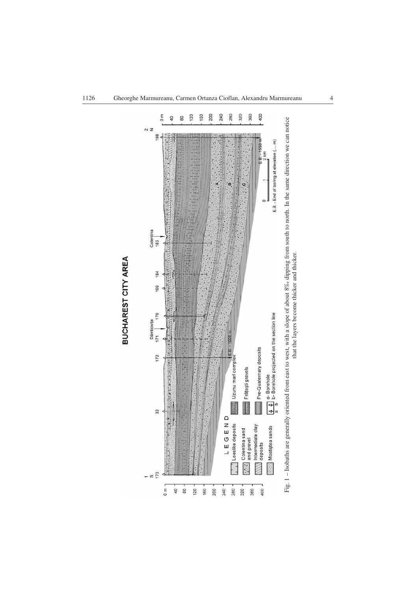

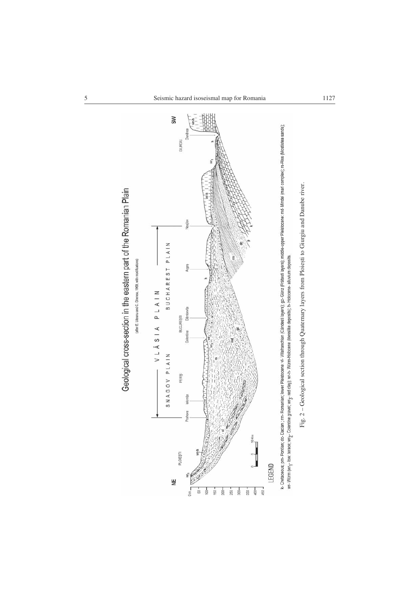

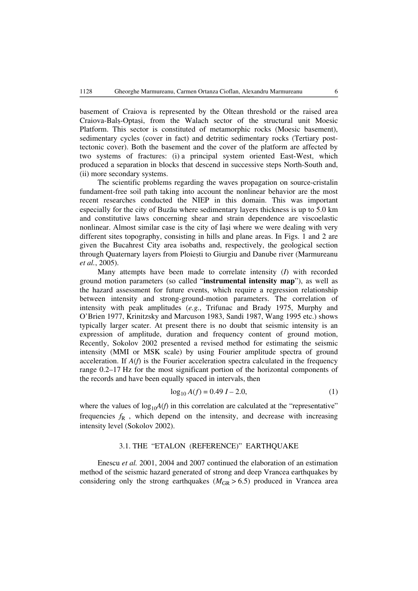basement of Craiova is represented by the Oltean threshold or the raised area Craiova-Bals-Optasi, from the Walach sector of the structural unit Moesic Platform. This sector is constituted of metamorphic rocks (Moesic basement), sedimentary cycles (cover in fact) and detritic sedimentary rocks (Tertiary posttectonic cover). Both the basement and the cover of the platform are affected by two systems of fractures: (i) a principal system oriented East-West, which produced a separation in blocks that descend in successive steps North-South and, (ii) more secondary systems.

The scientific problems regarding the waves propagation on source-cristalin fundament-free soil path taking into account the nonlinear behavior are the most recent researches conducted the NIEP in this domain. This was important especially for the city of Buzău where sedimentary layers thickness is up to 5.0 km and constitutive laws concerning shear and strain dependence are viscoelastic nonlinear. Almost similar case is the city of Iasi where we were dealing with very different sites topography, consisting in hills and plane areas. In Figs. 1 and 2 are given the Bucahrest City area isobaths and, respectively, the geological section through Quaternary layers from Ploiești to Giurgiu and Danube river (Marmureanu *et al.*, 2005).

Many attempts have been made to correlate intensity (*I*) with recorded ground motion parameters (so called "**instrumental intensity map**"), as well as the hazard assessment for future events, which require a regression relationship between intensity and strong-ground-motion parameters. The correlation of intensity with peak amplitudes (*e.g.*, Trifunac and Brady 1975, Murphy and O'Brien 1977, Krinitzsky and Marcuson 1983, Sandi 1987, Wang 1995 etc.) shows typically larger scater. At present there is no doubt that seismic intensity is an expression of amplitude, duration and frequency content of ground motion, Recently, Sokolov 2002 presented a revised method for estimating the seismic intensity (MMI or MSK scale) by using Fourier amplitude spectra of ground acceleration. If *A*(*f*) is the Fourier acceleration spectra calculated in the frequency range 0.2–17 Hz for the most significant portion of the horizontal components of the records and have been equally spaced in intervals, then

$$
\log_{10} A(f) = 0.49 I - 2.0,\tag{1}
$$

where the values of  $log_{10}A(f)$  in this correlation are calculated at the "representative" frequencies  $f_{R}$ , which depend on the intensity, and decrease with increasing intensity level (Sokolov 2002).

# 3.1. THE "ETALON (REFERENCE)" EARTHQUAKE

Enescu *et al.* 2001, 2004 and 2007 continued the elaboration of an estimation method of the seismic hazard generated of strong and deep Vrancea earthquakes by considering only the strong earthquakes ( $M_{GR} > 6.5$ ) produced in Vrancea area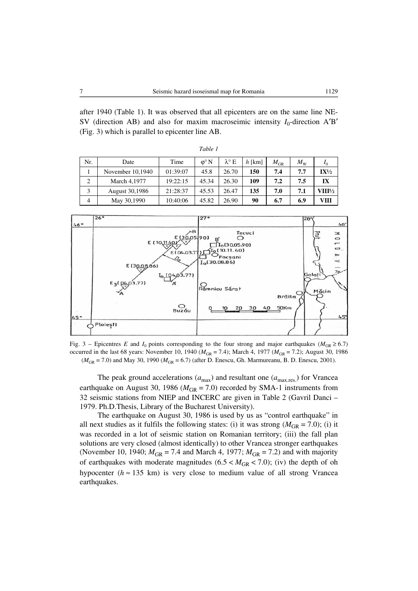after 1940 (Table 1). It was observed that all epicenters are on the same line NE-SV (direction AB) and also for maxim macroseimic intensity  $I_0$ -direction A'B' (Fig. 3) which is parallel to epicenter line AB.

*Table 1*

| Nr. | Date             | Time     | $\omega^{\circ} N$ | $\lambda^{\circ}$ E | $h$ [km] | $M_{\mathrm{GR}}$ | $M_{\mathrm{W}}$ | I <sub>0</sub>  |
|-----|------------------|----------|--------------------|---------------------|----------|-------------------|------------------|-----------------|
|     | November 10,1940 | 01:39:07 | 45.8               | 26.70               | 150      | 7.4               | 7.7              | $IX\frac{1}{2}$ |
| 2   | March 4,1977     | 19:22:15 | 45.34              | 26.30               | 109      | 7.2               | 7.5              | IX              |
| 3   | August 30,1986   | 21:28:37 | 45.53              | 26.47               | 135      | 7.0               | 7.1              | VIII½           |
| 4   | May 30,1990      | 10:40:06 | 45.82              | 26.90               | 90       | 6.7               | 6.9              | VIII            |



Fig. 3 – Epicentres *E* and *I*<sub>0</sub> points corresponding to the four strong and major earthquakes ( $M_{GR} \ge 6.7$ ) occurred in the last 68 years: November 10, 1940 ( $M_{GR} = 7.4$ ); March 4, 1977 ( $M_{GR} = 7.2$ ); August 30, 1986 ( $M_{\text{GR}}$  = 7.0) and May 30, 1990 ( $M_{\text{GR}}$  = 6.7) (after D. Enescu, Gh. Marmureanu, B. D. Enescu, 2001).

The peak ground accelerations ( $a_{\text{max}}$ ) and resultant one ( $a_{\text{max,res}}$ ) for Vrancea earthquake on August 30, 1986 ( $M_{\text{GR}} = 7.0$ ) recorded by SMA-1 instruments from 32 seismic stations from NIEP and INCERC are given in Table 2 (Gavril Danci – 1979. Ph.D.Thesis, Library of the Bucharest University).

The earthquake on August 30, 1986 is used by us as "control earthquake" in all next studies as it fulfils the following states: (i) it was strong  $(M_{GR} = 7.0)$ ; (i) it was recorded in a lot of seismic station on Romanian territory; (iii) the fall plan solutions are very closed (almost identically) to other Vrancea stronger earthquakes (November 10, 1940;  $M_{\text{GR}} = 7.4$  and March 4, 1977;  $M_{\text{GR}} = 7.2$ ) and with majority of earthquakes with moderate magnitudes  $(6.5 < M_{GR} < 7.0)$ ; (iv) the depth of oh hypocenter ( $h \approx 135$  km) is very close to medium value of all strong Vrancea earthquakes.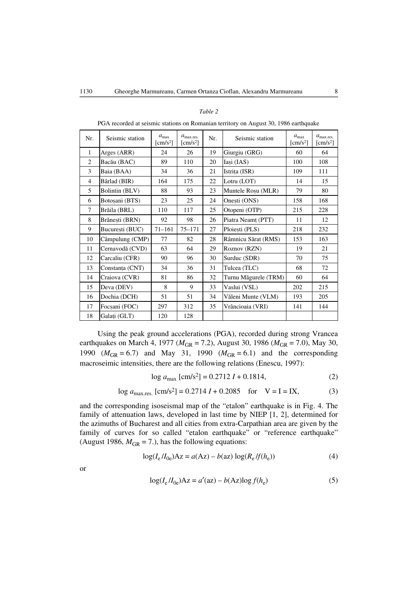| POA recorded at seismic stations on Romanian territory on August 50, 1980 earthquake |                 |                                      |                                           |     |                      |                                      |                                          |  |  |
|--------------------------------------------------------------------------------------|-----------------|--------------------------------------|-------------------------------------------|-----|----------------------|--------------------------------------|------------------------------------------|--|--|
| Nr.                                                                                  | Seismic station | $a_{\text{max}}$<br>$\text{[cm/s}^2$ | $a_{\text{max,res.}}$<br>$\text{[cm/s}^2$ | Nr. | Seismic station      | $a_{\text{max}}$<br>$\text{[cm/s}^2$ | $a_{\text{max,res.}}$<br>$\text{cm/s}^2$ |  |  |
| $\mathbf{1}$                                                                         | Arges (ARR)     | 24                                   | 26                                        | 19  | Giurgiu (GRG)        | 60                                   | 64                                       |  |  |
| 2                                                                                    | Bacău (BAC)     | 89                                   | 110                                       | 20  | Iași (IAS)           | 100                                  | 108                                      |  |  |
| 3                                                                                    | Baia (BAA)      | 34                                   | 36                                        | 21  | Istrița (ISR)        | 109                                  | 111                                      |  |  |
| $\overline{4}$                                                                       | Bârlad (BIR)    | 164                                  | 175                                       | 22  | Lotru (LOT)          | 14                                   | 15                                       |  |  |
| 5                                                                                    | Bolintin (BLV)  | 88                                   | 93                                        | 23  | Muntele Rosu (MLR)   | 79                                   | 80                                       |  |  |
| 6                                                                                    | Botoșani (BTS)  | 23                                   | 25                                        | 24  | Onești (ONS)         | 158                                  | 168                                      |  |  |
| 7                                                                                    | Brăila (BRL)    | 110                                  | 117                                       | 25  | Otopeni (OTP)        | 215                                  | 228                                      |  |  |
| 8                                                                                    | Brănești (BRN)  | 92                                   | 98                                        | 26  | Piatra Neamt (PTT)   | 11                                   | 12                                       |  |  |
| 9                                                                                    | București (BUC) | $71 - 161$                           | 75–171                                    | 27  | Ploiesti (PLS)       | 218                                  | 232                                      |  |  |
| 10                                                                                   | Câmpulung (CMP) | 77                                   | 82                                        | 28  | Râmnicu Sărat (RMS)  | 153                                  | 163                                      |  |  |
| 11                                                                                   | Cernavodă (CVD) | 63                                   | 64                                        | 29  | Roznov (RZN)         | 19                                   | 21                                       |  |  |
| 12                                                                                   | Carcaliu (CFR)  | 90                                   | 96                                        | 30  | Surduc (SDR)         | 70                                   | 75                                       |  |  |
| 13                                                                                   | Constanța (CNT) | 34                                   | 36                                        | 31  | Tulcea (TLC)         | 68                                   | 72                                       |  |  |
| 14                                                                                   | Craiova (CVR)   | 81                                   | 86                                        | 32  | Turnu Măgurele (TRM) | 60                                   | 64                                       |  |  |
| 15                                                                                   | Deva (DEV)      | 8                                    | 9                                         | 33  | Vaslui (VSL)         | 202                                  | 215                                      |  |  |
| 16                                                                                   | Dochia (DCH)    | 51                                   | 51                                        | 34  | Văleni Munte (VLM)   | 193                                  | 205                                      |  |  |
| 17                                                                                   | Focsani (FOC)   | 297                                  | 312                                       | 35  | Vrâncioaia (VRI)     | 141                                  | 144                                      |  |  |
| 18                                                                                   | Galați (GLT)    | 120                                  | 128                                       |     |                      |                                      |                                          |  |  |

*Table 2*

PGA recorded at seismic stations on Romanian territory on August 30, 1986 earthquake

Using the peak ground accelerations (PGA), recorded during strong Vrancea earthquakes on March 4, 1977 ( $M_{GR} = 7.2$ ), August 30, 1986 ( $M_{GR} = 7.0$ ), May 30, 1990 ( $M_{\text{GR}} = 6.7$ ) and May 31, 1990 ( $M_{\text{GR}} = 6.1$ ) and the corresponding macroseimic intensities, there are the following relations (Enescu, 1997):

$$
\log a_{\text{max}} \, [\text{cm/s}^2] = 0.2712 \, I + 0.1814,\tag{2}
$$

$$
\log a_{\text{max,res.}} [\text{cm/s}^2] = 0.2714 \, I + 0.2085 \quad \text{for} \quad V = I = IX,\tag{3}
$$

and the corresponding isoseismal map of the "etalon" earthquake is in Fig. 4. The family of attenuation laws, developed in last time by NIEP [1, 2], determined for the azimuths of Bucharest and all cities from extra-Carpathian area are given by the family of curves for so called "etalon earthquake" or "reference earthquake" (August 1986,  $M_{GR} = 7$ .), has the following equations:

$$
log(I_e/I_{0e})Az = a(Az) - b(az)log(R_e/f(h_e))
$$
\n(4)

or

$$
\log(I_e/I_{0e})\text{Az} = a'(\text{az}) - b(\text{Az})\log f(h_e)
$$
\n<sup>(5)</sup>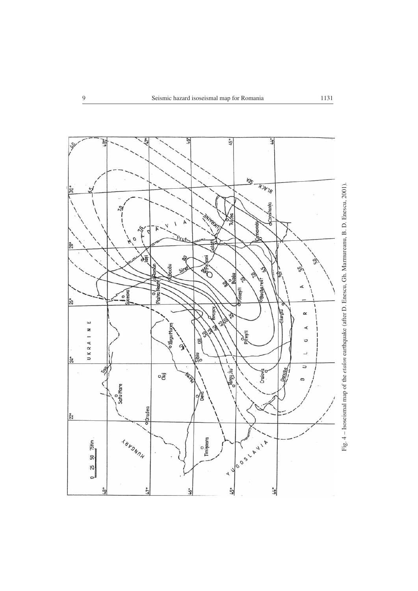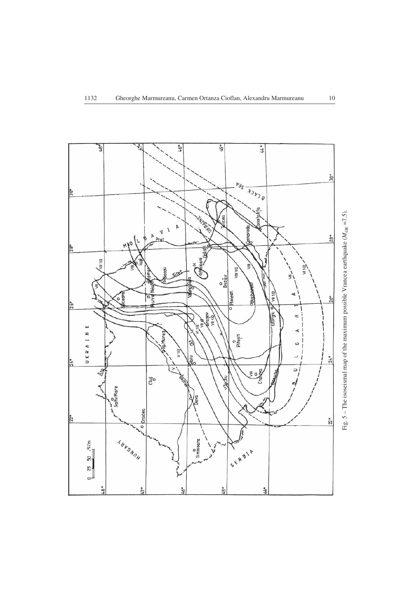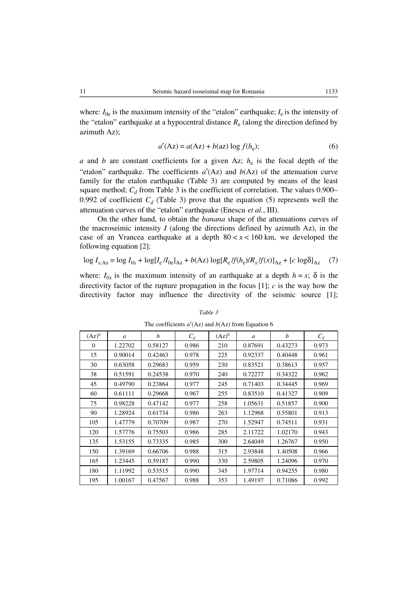where:  $I_{0e}$  is the maximum intensity of the "etalon" earthquake;  $I_e$  is the intensity of the "etalon" earthquake at a hypocentral distance  $R_e$  (along the direction defined by azimuth Az);

$$
a'(\text{Az}) = a(\text{Az}) + b(\text{az}) \log f(h_e); \tag{6}
$$

*a* and *b* are constant coefficients for a given Az;  $h_e$  is the focal depth of the "etalon" earthquake. The coefficients  $a'(Az)$  and  $b(Az)$  of the attenuation curve family for the etalon earthquake (Table 3) are computed by means of the least square method;  $C_d$  from Table 3 is the coefficient of correlation. The values 0.900– 0.992 of coefficient  $C_d$  (Table 3) prove that the equation (5) represents well the attenuation curves of the "etalon" earthquake (Enescu *et al.*, III).

On the other hand, to obtain the *banana* shape of the attenuations curves of the macroseimic intensity  $I$  (along the directions defined by azimuth Az), in the case of an Vrancea earthquake at a depth  $80 < x < 160$  km, we developed the following equation [2]:

$$
\log I_{x, Az} = \log I_{0x} + \log[I_e / I_{0e}]_{Az} + b(Az) \log[R_e / f(h_e) / R_x / f(x)]_{Az} + [c \log \delta]_{Az} \tag{7}
$$

where:  $I_{0x}$  is the maximum intensity of an earthquake at a depth  $h = x$ ;  $\delta$  is the directivity factor of the rupture propagation in the focus [1]; *c* is the way how the directivity factor may influence the directivity of the seismic source [1];

| $(Az)^0$ | $\mathfrak{a}$ | h       | $C_d$ | $(Az)^0$ | $\mathfrak a$ | b       | $C_d$ |
|----------|----------------|---------|-------|----------|---------------|---------|-------|
| $\bf{0}$ | 1.22702        | 0.58127 | 0.986 | 210      | 0.87691       | 0.43273 | 0.973 |
| 15       | 0.90014        | 0.42463 | 0.978 | 225      | 0.92337       | 0.40448 | 0.961 |
| 30       | 0.63058        | 0.29683 | 0.959 | 230      | 0.83521       | 0.38613 | 0.957 |
| 38       | 0.51591        | 0.24538 | 0.970 | 240      | 0.72277       | 0.34322 | 0.962 |
| 45       | 0.49790        | 0.23864 | 0.977 | 245      | 0.71403       | 0.34445 | 0.969 |
| 60       | 0.61111        | 0.29668 | 0.967 | 255      | 0.83510       | 0.41327 | 0.909 |
| 75       | 0.98228        | 0.47142 | 0.977 | 258      | 1.05631       | 0.51857 | 0.900 |
| 90       | 1.28924        | 0.61734 | 0.986 | 263      | 1.12968       | 0.55801 | 0.913 |
| 105      | 1.47779        | 0.70709 | 0.987 | 270      | 1.52947       | 0.74511 | 0.931 |
| 120      | 1.57776        | 0.75503 | 0.986 | 285      | 2.11722       | 1.02170 | 0.943 |
| 135      | 1.53155        | 0.73335 | 0.985 | 300      | 2.64049       | 1.26767 | 0.950 |
| 150      | 1.39169        | 0.66706 | 0.988 | 315      | 2.93848       | 1.40508 | 0.966 |
| 165      | 1.23445        | 0.59187 | 0.990 | 330      | 2.59805       | 1.24096 | 0.970 |
| 180      | 1.11992        | 0.53515 | 0.990 | 345      | 1.97714       | 0.94255 | 0.980 |
| 195      | 1.00167        | 0.47567 | 0.988 | 353      | 1.49197       | 0.71086 | 0.992 |

### *Table 3*

The coefficients  $a'(Az)$  and  $b(Az)$  from Equation 6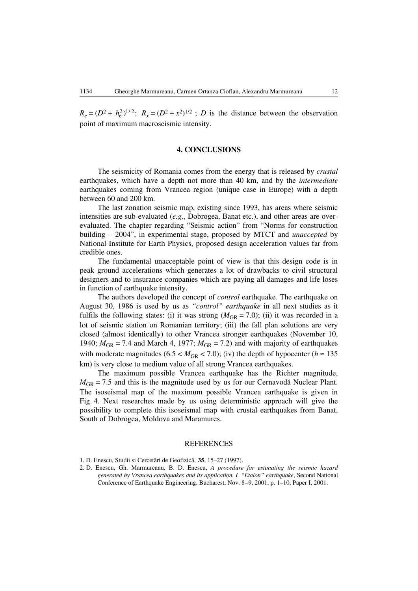$R_e = (D^2 + h_e^2)^{1/2}$ ;  $R_x = (D^2 + x^2)^{1/2}$ ; *D* is the distance between the observation point of maximum macroseismic intensity.

### **4. CONCLUSIONS**

The seismicity of Romania comes from the energy that is released by *crustal* earthquakes, which have a depth not more than 40 km, and by the *intermediate* earthquakes coming from Vrancea region (unique case in Europe) with a depth between 60 and 200 km.

The last zonation seismic map, existing since 1993, has areas where seismic intensities are sub-evaluated (*e.g.*, Dobrogea, Banat etc.), and other areas are overevaluated. The chapter regarding "Seismic action" from "Norms for construction building – 2004", in experimental stage, proposed by MTCT and *unaccepted* by National Institute for Earth Physics, proposed design acceleration values far from credible ones.

The fundamental unacceptable point of view is that this design code is in peak ground accelerations which generates a lot of drawbacks to civil structural designers and to insurance companies which are paying all damages and life loses in function of earthquake intensity.

The authors developed the concept of *control* earthquake. The earthquake on August 30, 1986 is used by us as *"control" earthquake* in all next studies as it fulfils the following states: (i) it was strong  $(M_{GR} = 7.0)$ ; (ii) it was recorded in a lot of seismic station on Romanian territory; (iii) the fall plan solutions are very closed (almost identically) to other Vrancea stronger earthquakes (November 10, 1940;  $M_{\text{GR}} = 7.4$  and March 4, 1977;  $M_{\text{GR}} = 7.2$ ) and with majority of earthquakes with moderate magnitudes (6.5 <  $M_{GR}$  < 7.0); (iv) the depth of hypocenter ( $h \approx 135$ km) is very close to medium value of all strong Vrancea earthquakes.

The maximum possible Vrancea earthquake has the Richter magnitude,  $M_{\text{GR}}$  = 7.5 and this is the magnitude used by us for our Cernavodă Nuclear Plant. The isoseismal map of the maximum possible Vrancea earthquake is given in Fig. 4. Next researches made by us using deterministic approach will give the possibility to complete this isoseismal map with crustal earthquakes from Banat, South of Dobrogea, Moldova and Maramures.

#### REFERENCES

<sup>1.</sup> D. Enescu, Studii ºi Cercetãri de Geofizicã, **35**, 15–27 (1997).

<sup>2.</sup> D. Enescu, Gh. Marmureanu, B. D. Enescu, *A procedure for estimating the seismic hazard generated by Vrancea earthquakes and its application. I. "Etalon" earthquake*, Second National Conference of Earthquake Engineering, Bucharest, Nov. 8–9, 2001, p. 1–10, Paper I, 2001.